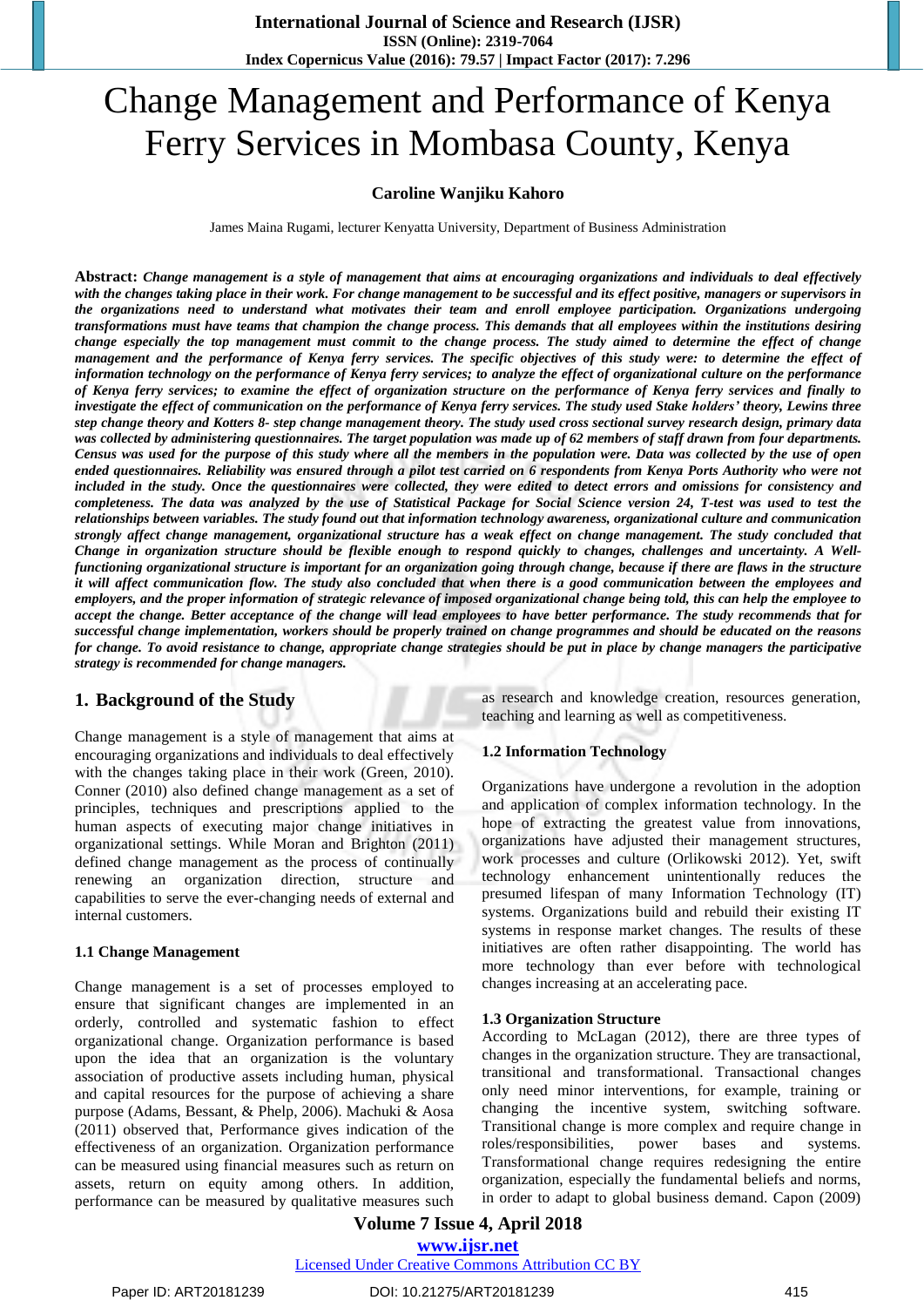# Change Management and Performance of Kenya Ferry Services in Mombasa County, Kenya

#### **Caroline Wanjiku Kahoro**

James Maina Rugami, lecturer Kenyatta University, Department of Business Administration

Abstract: Change management is a style of management that aims at encouraging organizations and individuals to deal effectively with the changes taking place in their work. For change management to be successful and its effect positive, managers or supervisors in the organizations need to understand what motivates their team and enroll employee participation. Organizations undergoing transformations must have teams that champion the change process. This demands that all employees within the institutions desiring change especially the top management must commit to the change process. The study aimed to determine the effect of change management and the performance of Kenya ferry services. The specific objectives of this study were: to determine the effect of information technology on the performance of Kenya ferry services; to analyze the effect of organizational culture on the performance of Kenya ferry services; to examine the effect of organization structure on the performance of Kenya ferry services and finally to investigate the effect of communication on the performance of Kenya ferry services. The study used Stake holders' theory, Lewins three step change theory and Kotters 8- step change management theory. The study used cross sectional survey research design, primary data was collected by administering questionnaires. The target population was made up of 62 members of staff drawn from four departments. Census was used for the purpose of this study where all the members in the population were. Data was collected by the use of open ended questionnaires. Reliability was ensured through a pilot test carried on 6 respondents from Kenya Ports Authority who were not included in the study. Once the questionnaires were collected, they were edited to detect errors and omissions for consistency and completeness. The data was analyzed by the use of Statistical Package for Social Science version 24, T-test was used to test the relationships between variables. The study found out that information technology awareness, organizational culture and communication strongly affect change management, organizational structure has a weak effect on change management. The study concluded that Change in organization structure should be flexible enough to respond quickly to changes, challenges and uncertainty. A Wellfunctioning organizational structure is important for an organization going through change, because if there are flaws in the structure it will affect communication flow. The study also concluded that when there is a good communication between the employees and employers, and the proper information of strategic relevance of imposed organizational change being told, this can help the employee to accept the change. Better acceptance of the change will lead employees to have better performance. The study recommends that for successful change implementation, workers should be properly trained on change programmes and should be educated on the reasons for change. To avoid resistance to change, appropriate change strategies should be put in place by change managers the participative *strategy is recommended for change managers.*

### **1. Background of the Study**

Change management is a style of management that aims at encouraging organizations and individuals to deal effectively with the changes taking place in their work (Green, 2010). Conner (2010) also defined change management as a set of principles, techniques and prescriptions applied to the human aspects of executing major change initiatives in organizational settings. While Moran and Brighton (2011) defined change management as the process of continually renewing an organization direction, structure and capabilities to serve the ever-changing needs of external and internal customers.

#### **1.1 Change Management**

Change management is a set of processes employed to ensure that significant changes are implemented in an orderly, controlled and systematic fashion to effect organizational change. Organization performance is based upon the idea that an organization is the voluntary association of productive assets including human, physical and capital resources for the purpose of achieving a share purpose (Adams, Bessant, & Phelp, 2006). Machuki & Aosa (2011) observed that, Performance gives indication of the effectiveness of an organization. Organization performance can be measured using financial measures such as return on assets, return on equity among others. In addition, performance can be measured by qualitative measures such as research and knowledge creation, resources generation, teaching and learning as well as competitiveness.

#### **1.2 Information Technology**

Organizations have undergone a revolution in the adoption and application of complex information technology. In the hope of extracting the greatest value from innovations, organizations have adjusted their management structures, work processes and culture (Orlikowski 2012). Yet, swift technology enhancement unintentionally reduces the presumed lifespan of many Information Technology (IT) systems. Organizations build and rebuild their existing IT systems in response market changes. The results of these initiatives are often rather disappointing. The world has more technology than ever before with technological changes increasing at an accelerating pace.

#### **1.3 Organization Structure**

According to McLagan (2012), there are three types of changes in the organization structure. They are transactional, transitional and transformational. Transactional changes only need minor interventions, for example, training or changing the incentive system, switching software. Transitional change is more complex and require change in roles/responsibilities, power bases and systems. Transformational change requires redesigning the entire organization, especially the fundamental beliefs and norms, in order to adapt to global business demand. Capon (2009)

**Volume 7 Issue 4, April 2018 [www.ijsr.net](file:///D:\IJSR%20Website\www.ijsr.net)**

#### [Licensed Under Creative Commons Attribution CC BY](http://creativecommons.org/licenses/by/4.0/)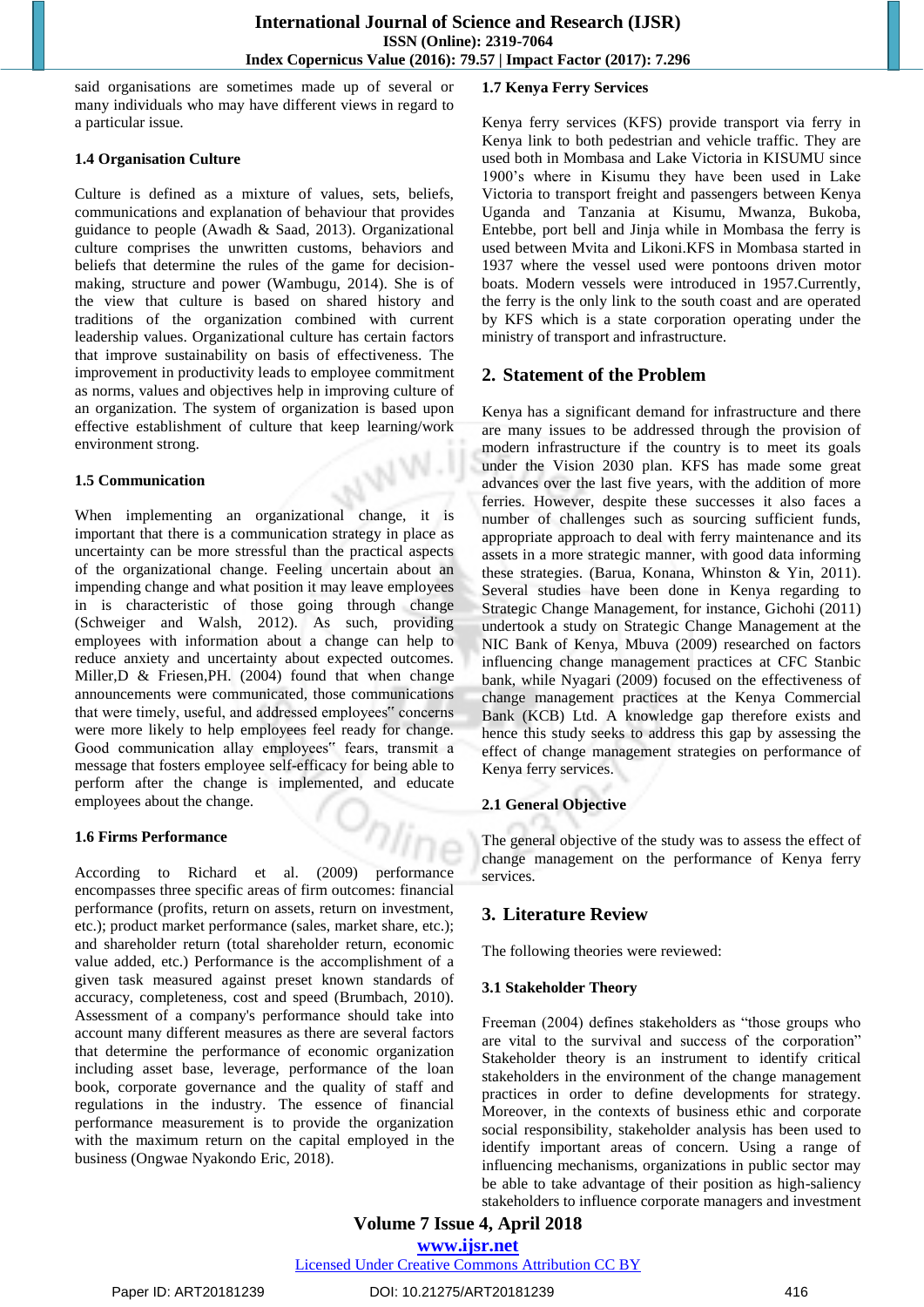said organisations are sometimes made up of several or many individuals who may have different views in regard to a particular issue.

#### **1.4 Organisation Culture**

Culture is defined as a mixture of values, sets, beliefs, communications and explanation of behaviour that provides guidance to people (Awadh & Saad, 2013). Organizational culture comprises the unwritten customs, behaviors and beliefs that determine the rules of the game for decisionmaking, structure and power (Wambugu, 2014). She is of the view that culture is based on shared history and traditions of the organization combined with current leadership values. Organizational culture has certain factors that improve sustainability on basis of effectiveness. The improvement in productivity leads to employee commitment as norms, values and objectives help in improving culture of an organization. The system of organization is based upon effective establishment of culture that keep learning/work environment strong.

#### **1.5 Communication**

When implementing an organizational change, it is important that there is a communication strategy in place as uncertainty can be more stressful than the practical aspects of the organizational change. Feeling uncertain about an impending change and what position it may leave employees in is characteristic of those going through change (Schweiger and Walsh, 2012). As such, providing employees with information about a change can help to reduce anxiety and uncertainty about expected outcomes. Miller,D & Friesen,PH. (2004) found that when change announcements were communicated, those communications that were timely, useful, and addressed employees" concerns were more likely to help employees feel ready for change. Good communication allay employees" fears, transmit a message that fosters employee self-efficacy for being able to perform after the change is implemented, and educate employees about the change.

### **1.6 Firms Performance**

According to Richard et al. (2009) performance encompasses three specific areas of firm outcomes: financial performance (profits, return on assets, return on investment, etc.); product market performance (sales, market share, etc.); and shareholder return (total shareholder return, economic value added, etc.) Performance is the accomplishment of a given task measured against preset known standards of accuracy, completeness, cost and speed (Brumbach, 2010). Assessment of a company's performance should take into account many different measures as there are several factors that determine the performance of economic organization including asset base, leverage, performance of the loan book, corporate governance and the quality of staff and regulations in the industry. The essence of financial performance measurement is to provide the organization with the maximum return on the capital employed in the business (Ongwae Nyakondo Eric, 2018).

### **1.7 Kenya Ferry Services**

Kenya ferry services (KFS) provide transport via ferry in Kenya link to both pedestrian and vehicle traffic. They are used both in Mombasa and Lake Victoria in KISUMU since 1900's where in Kisumu they have been used in Lake Victoria to transport freight and passengers between Kenya Uganda and Tanzania at Kisumu, Mwanza, Bukoba, Entebbe, port bell and Jinja while in Mombasa the ferry is used between Mvita and Likoni.KFS in Mombasa started in 1937 where the vessel used were pontoons driven motor boats. Modern vessels were introduced in 1957.Currently, the ferry is the only link to the south coast and are operated by KFS which is a state corporation operating under the ministry of transport and infrastructure.

## **2. Statement of the Problem**

Kenya has a significant demand for infrastructure and there are many issues to be addressed through the provision of modern infrastructure if the country is to meet its goals under the Vision 2030 plan. KFS has made some great advances over the last five years, with the addition of more ferries. However, despite these successes it also faces a number of challenges such as sourcing sufficient funds, appropriate approach to deal with ferry maintenance and its assets in a more strategic manner, with good data informing these strategies. (Barua, Konana, Whinston & Yin, 2011). Several studies have been done in Kenya regarding to Strategic Change Management, for instance, Gichohi (2011) undertook a study on Strategic Change Management at the NIC Bank of Kenya, Mbuva (2009) researched on factors influencing change management practices at CFC Stanbic bank, while Nyagari (2009) focused on the effectiveness of change management practices at the Kenya Commercial Bank (KCB) Ltd. A knowledge gap therefore exists and hence this study seeks to address this gap by assessing the effect of change management strategies on performance of Kenya ferry services.

### **2.1 General Objective**

The general objective of the study was to assess the effect of change management on the performance of Kenya ferry services.

# **3. Literature Review**

The following theories were reviewed:

### **3.1 Stakeholder Theory**

Freeman (2004) defines stakeholders as "those groups who are vital to the survival and success of the corporation" Stakeholder theory is an instrument to identify critical stakeholders in the environment of the change management practices in order to define developments for strategy. Moreover, in the contexts of business ethic and corporate social responsibility, stakeholder analysis has been used to identify important areas of concern. Using a range of influencing mechanisms, organizations in public sector may be able to take advantage of their position as high-saliency stakeholders to influence corporate managers and investment

**Volume 7 Issue 4, April 2018 [www.ijsr.net](file:///D:\IJSR%20Website\www.ijsr.net)**

[Licensed Under Creative Commons Attribution CC BY](http://creativecommons.org/licenses/by/4.0/)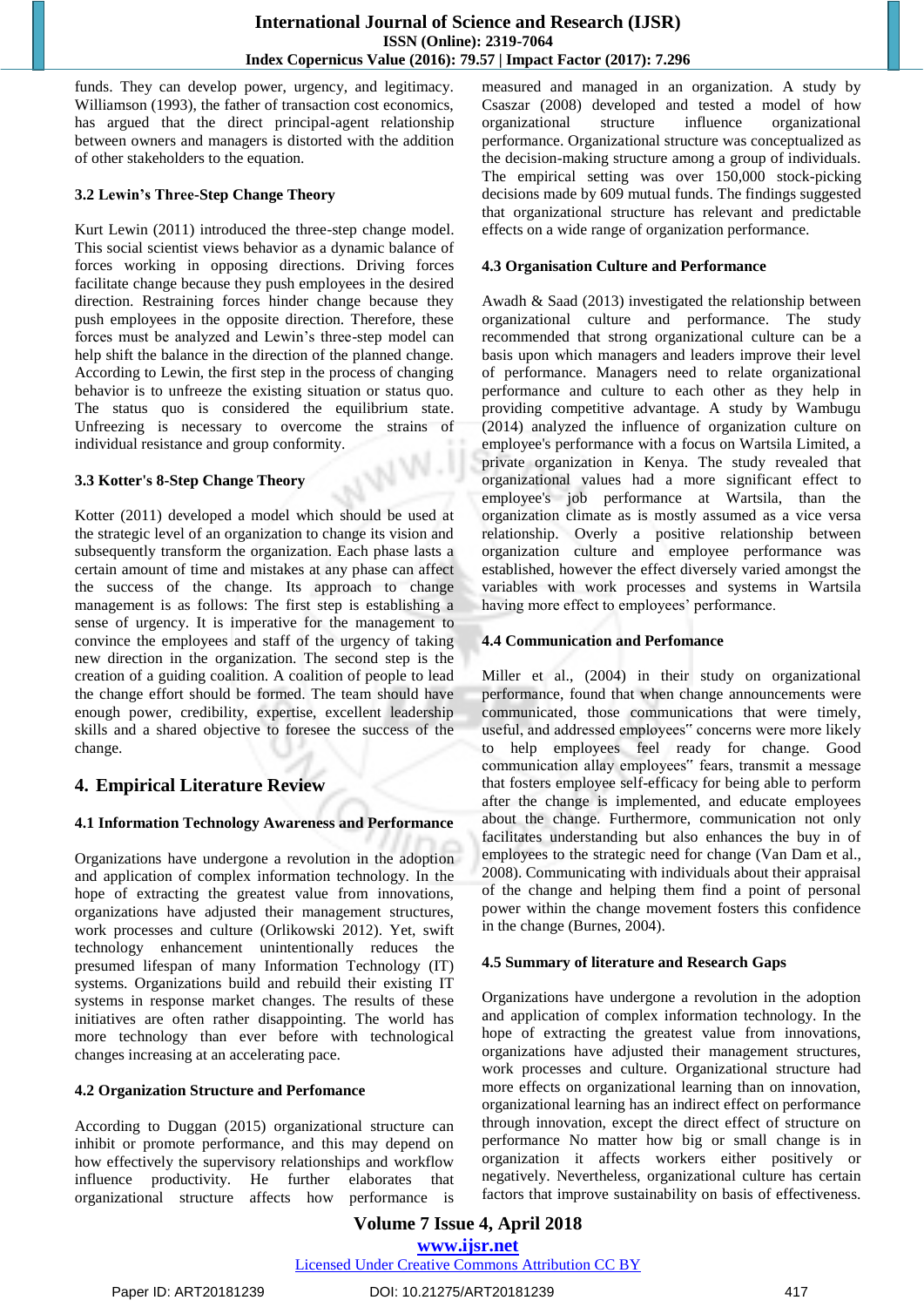funds. They can develop power, urgency, and legitimacy. Williamson (1993), the father of transaction cost economics, has argued that the direct principal-agent relationship between owners and managers is distorted with the addition of other stakeholders to the equation.

#### **3.2 Lewin's Three-Step Change Theory**

Kurt Lewin (2011) introduced the three-step change model. This social scientist views behavior as a dynamic balance of forces working in opposing directions. Driving forces facilitate change because they push employees in the desired direction. Restraining forces hinder change because they push employees in the opposite direction. Therefore, these forces must be analyzed and Lewin's three-step model can help shift the balance in the direction of the planned change. According to Lewin, the first step in the process of changing behavior is to unfreeze the existing situation or status quo. The status quo is considered the equilibrium state. Unfreezing is necessary to overcome the strains of individual resistance and group conformity.

#### **3.3 Kotter's 8-Step Change Theory**

Kotter (2011) developed a model which should be used at the strategic level of an organization to change its vision and subsequently transform the organization. Each phase lasts a certain amount of time and mistakes at any phase can affect the success of the change. Its approach to change management is as follows: The first step is establishing a sense of urgency. It is imperative for the management to convince the employees and staff of the urgency of taking new direction in the organization. The second step is the creation of a guiding coalition. A coalition of people to lead the change effort should be formed. The team should have enough power, credibility, expertise, excellent leadership skills and a shared objective to foresee the success of the change.

## **4. Empirical Literature Review**

### **4.1 Information Technology Awareness and Performance**

Organizations have undergone a revolution in the adoption and application of complex information technology. In the hope of extracting the greatest value from innovations, organizations have adjusted their management structures, work processes and culture (Orlikowski 2012). Yet, swift technology enhancement unintentionally reduces the presumed lifespan of many Information Technology (IT) systems. Organizations build and rebuild their existing IT systems in response market changes. The results of these initiatives are often rather disappointing. The world has more technology than ever before with technological changes increasing at an accelerating pace.

#### **4.2 Organization Structure and Perfomance**

According to Duggan (2015) organizational structure can inhibit or promote performance, and this may depend on how effectively the supervisory relationships and workflow influence productivity. He further elaborates that organizational structure affects how performance is measured and managed in an organization. A study by Csaszar (2008) developed and tested a model of how organizational structure influence organizational performance. Organizational structure was conceptualized as the decision-making structure among a group of individuals. The empirical setting was over 150,000 stock-picking decisions made by 609 mutual funds. The findings suggested that organizational structure has relevant and predictable effects on a wide range of organization performance.

#### **4.3 Organisation Culture and Performance**

Awadh & Saad (2013) investigated the relationship between organizational culture and performance. The study recommended that strong organizational culture can be a basis upon which managers and leaders improve their level of performance. Managers need to relate organizational performance and culture to each other as they help in providing competitive advantage. A study by Wambugu (2014) analyzed the influence of organization culture on employee's performance with a focus on Wartsila Limited, a private organization in Kenya. The study revealed that organizational values had a more significant effect to employee's job performance at Wartsila, than the organization climate as is mostly assumed as a vice versa relationship. Overly a positive relationship between organization culture and employee performance was established, however the effect diversely varied amongst the variables with work processes and systems in Wartsila having more effect to employees' performance.

### **4.4 Communication and Perfomance**

Miller et al., (2004) in their study on organizational performance, found that when change announcements were communicated, those communications that were timely, useful, and addressed employees" concerns were more likely to help employees feel ready for change. Good communication allay employees" fears, transmit a message that fosters employee self-efficacy for being able to perform after the change is implemented, and educate employees about the change. Furthermore, communication not only facilitates understanding but also enhances the buy in of employees to the strategic need for change (Van Dam et al., 2008). Communicating with individuals about their appraisal of the change and helping them find a point of personal power within the change movement fosters this confidence in the change (Burnes, 2004).

#### **4.5 Summary of literature and Research Gaps**

Organizations have undergone a revolution in the adoption and application of complex information technology. In the hope of extracting the greatest value from innovations, organizations have adjusted their management structures, work processes and culture. Organizational structure had more effects on organizational learning than on innovation, organizational learning has an indirect effect on performance through innovation, except the direct effect of structure on performance No matter how big or small change is in organization it affects workers either positively or negatively. Nevertheless, organizational culture has certain factors that improve sustainability on basis of effectiveness.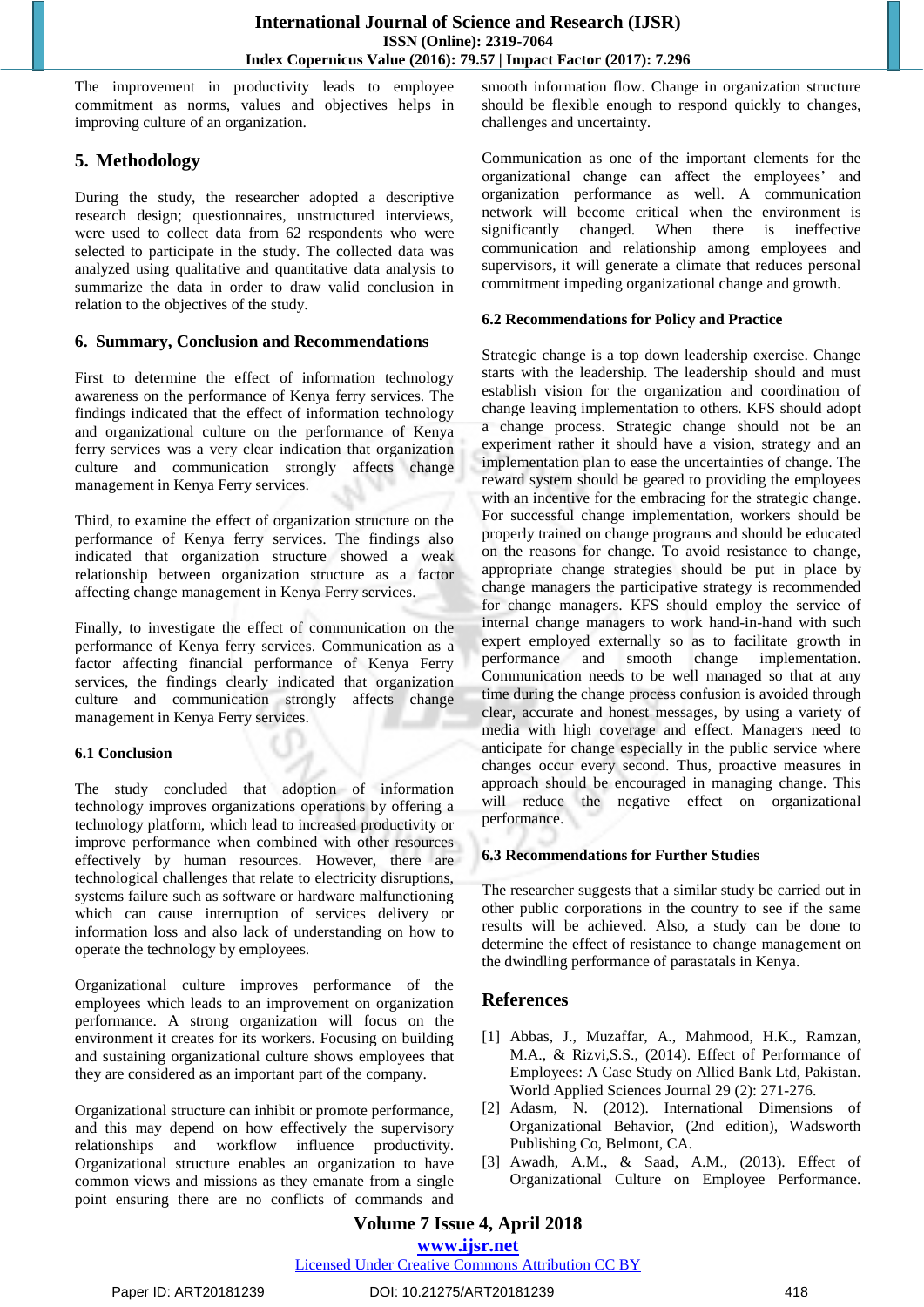The improvement in productivity leads to employee commitment as norms, values and objectives helps in improving culture of an organization.

# **5. Methodology**

During the study, the researcher adopted a descriptive research design; questionnaires, unstructured interviews, were used to collect data from 62 respondents who were selected to participate in the study. The collected data was analyzed using qualitative and quantitative data analysis to summarize the data in order to draw valid conclusion in relation to the objectives of the study.

## **6. Summary, Conclusion and Recommendations**

First to determine the effect of information technology awareness on the performance of Kenya ferry services. The findings indicated that the effect of information technology and organizational culture on the performance of Kenya ferry services was a very clear indication that organization culture and communication strongly affects change management in Kenya Ferry services.

Third, to examine the effect of organization structure on the performance of Kenya ferry services. The findings also indicated that organization structure showed a weak relationship between organization structure as a factor affecting change management in Kenya Ferry services.

Finally, to investigate the effect of communication on the performance of Kenya ferry services. Communication as a factor affecting financial performance of Kenya Ferry services, the findings clearly indicated that organization culture and communication strongly affects change management in Kenya Ferry services.

### **6.1 Conclusion**

The study concluded that adoption of information technology improves organizations operations by offering a technology platform, which lead to increased productivity or improve performance when combined with other resources effectively by human resources. However, there are technological challenges that relate to electricity disruptions, systems failure such as software or hardware malfunctioning which can cause interruption of services delivery or information loss and also lack of understanding on how to operate the technology by employees.

Organizational culture improves performance of the employees which leads to an improvement on organization performance. A strong organization will focus on the environment it creates for its workers. Focusing on building and sustaining organizational culture shows employees that they are considered as an important part of the company.

Organizational structure can inhibit or promote performance, and this may depend on how effectively the supervisory relationships and workflow influence productivity. Organizational structure enables an organization to have common views and missions as they emanate from a single point ensuring there are no conflicts of commands and smooth information flow. Change in organization structure should be flexible enough to respond quickly to changes, challenges and uncertainty.

Communication as one of the important elements for the organizational change can affect the employees' and organization performance as well. A communication network will become critical when the environment is significantly changed. When there is ineffective communication and relationship among employees and supervisors, it will generate a climate that reduces personal commitment impeding organizational change and growth.

## **6.2 Recommendations for Policy and Practice**

Strategic change is a top down leadership exercise. Change starts with the leadership. The leadership should and must establish vision for the organization and coordination of change leaving implementation to others. KFS should adopt a change process. Strategic change should not be an experiment rather it should have a vision, strategy and an implementation plan to ease the uncertainties of change. The reward system should be geared to providing the employees with an incentive for the embracing for the strategic change. For successful change implementation, workers should be properly trained on change programs and should be educated on the reasons for change. To avoid resistance to change, appropriate change strategies should be put in place by change managers the participative strategy is recommended for change managers. KFS should employ the service of internal change managers to work hand-in-hand with such expert employed externally so as to facilitate growth in performance and smooth change implementation. Communication needs to be well managed so that at any time during the change process confusion is avoided through clear, accurate and honest messages, by using a variety of media with high coverage and effect. Managers need to anticipate for change especially in the public service where changes occur every second. Thus, proactive measures in approach should be encouraged in managing change. This will reduce the negative effect on organizational performance.

## **6.3 Recommendations for Further Studies**

The researcher suggests that a similar study be carried out in other public corporations in the country to see if the same results will be achieved. Also, a study can be done to determine the effect of resistance to change management on the dwindling performance of parastatals in Kenya.

# **References**

- [1] Abbas, J., Muzaffar, A., Mahmood, H.K., Ramzan, M.A., & Rizvi,S.S., (2014). Effect of Performance of Employees: A Case Study on Allied Bank Ltd, Pakistan. World Applied Sciences Journal 29 (2): 271-276.
- [2] Adasm, N. (2012). International Dimensions of Organizational Behavior, (2nd edition), Wadsworth Publishing Co, Belmont, CA.
- [3] Awadh, A.M., & Saad, A.M., (2013). Effect of Organizational Culture on Employee Performance.